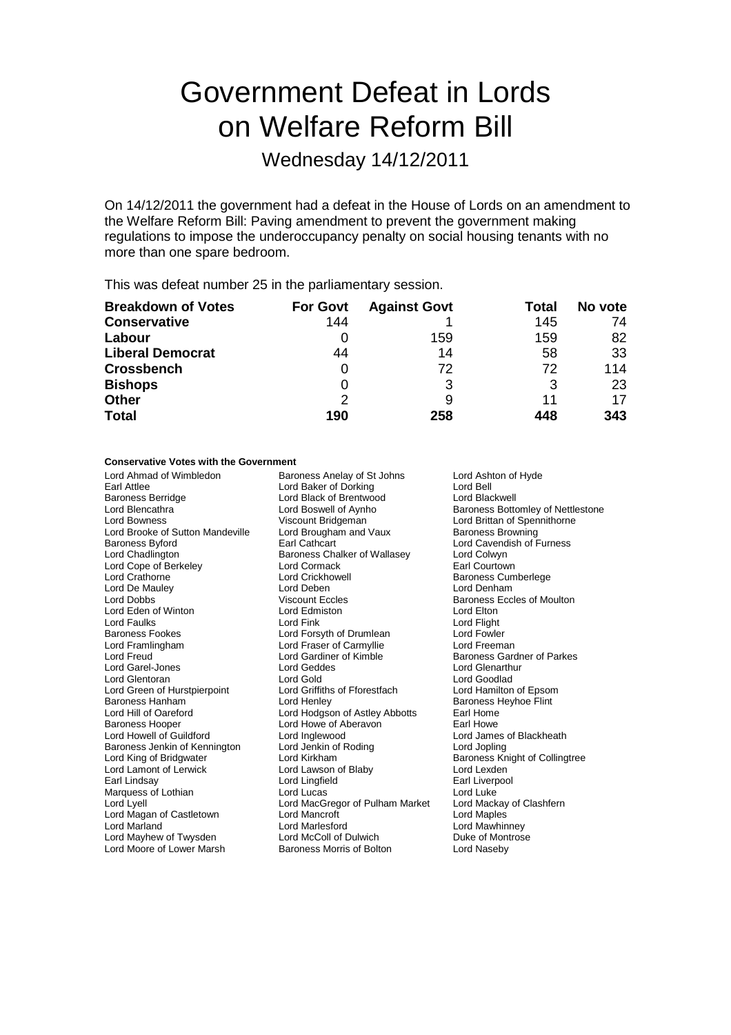# Government Defeat in Lords on Welfare Reform Bill

Wednesday 14/12/2011

On 14/12/2011 the government had a defeat in the House of Lords on an amendment to the Welfare Reform Bill: Paving amendment to prevent the government making regulations to impose the underoccupancy penalty on social housing tenants with no more than one spare bedroom.

This was defeat number 25 in the parliamentary session.

| <b>Breakdown of Votes</b> | <b>For Govt</b> | <b>Against Govt</b> | Total | No vote |
|---------------------------|-----------------|---------------------|-------|---------|
| <b>Conservative</b>       | 144             |                     | 145   | 74      |
| Labour                    |                 | 159                 | 159   | 82      |
| <b>Liberal Democrat</b>   | 44              | 14                  | 58    | 33      |
| <b>Crossbench</b>         |                 | 72                  | 72    | 114     |
| <b>Bishops</b>            | 0               | 3                   | 3     | 23      |
| <b>Other</b>              | 2               | 9                   | 11    | 17      |
| <b>Total</b>              | 190             | 258                 | 448   | 343     |

### **Conservative Votes with the Government**

| Lord Ahmad of Wimbledon<br>Earl Attlee<br><b>Baroness Berridge</b><br>Lord Blencathra<br>Lord Bowness<br>Lord Brooke of Sutton Mandeville<br><b>Baroness Byford</b><br>Lord Chadlington<br>Lord Cope of Berkeley<br>Lord Crathorne<br>Lord De Mauley<br>Lord Dobbs<br>Lord Eden of Winton<br><b>Lord Faulks</b><br>Baroness Fookes<br>Lord Framlingham<br>Lord Freud<br>Lord Garel-Jones<br>Lord Glentoran<br>Lord Green of Hurstpierpoint<br>Baroness Hanham<br>Lord Hill of Oareford<br><b>Baroness Hooper</b><br>Lord Howell of Guildford<br>Baroness Jenkin of Kennington<br>Lord King of Bridgwater<br>Lord Lamont of Lerwick<br>Earl Lindsay<br>Marquess of Lothian<br>Lord Lyell<br>Lord Magan of Castletown | Baroness Anelay of St Johns<br>Lord Baker of Dorking<br>Lord Black of Brentwood<br>Lord Boswell of Aynho<br>Viscount Bridgeman<br>Lord Brougham and Vaux<br>Earl Cathcart<br>Baroness Chalker of Wallasey<br>Lord Cormack<br>Lord Crickhowell<br>Lord Deben<br><b>Viscount Eccles</b><br>Lord Edmiston<br>Lord Fink<br>Lord Forsyth of Drumlean<br>Lord Fraser of Carmyllie<br>Lord Gardiner of Kimble<br>Lord Geddes<br>Lord Gold<br>Lord Griffiths of Fforestfach<br>Lord Henley<br>Lord Hodgson of Astley Abbotts<br>Lord Howe of Aberavon<br>Lord Inglewood<br>Lord Jenkin of Roding<br>Lord Kirkham<br>Lord Lawson of Blaby<br>Lord Lingfield<br>Lord Lucas<br>Lord MacGregor of Pulham Market<br><b>Lord Mancroft</b> | Lord Ashton of Hyde<br>Lord Bell<br>Lord Blackwell<br><b>Baroness Bottomley of Nettlestone</b><br>Lord Brittan of Spennithorne<br><b>Baroness Browning</b><br>Lord Cavendish of Furness<br>Lord Colwyn<br>Earl Courtown<br><b>Baroness Cumberlege</b><br>Lord Denham<br><b>Baroness Eccles of Moulton</b><br>Lord Elton<br>Lord Flight<br>Lord Fowler<br>Lord Freeman<br><b>Baroness Gardner of Parkes</b><br>Lord Glenarthur<br>Lord Goodlad<br>Lord Hamilton of Epsom<br>Baroness Heyhoe Flint<br>Earl Home<br>Earl Howe<br>Lord James of Blackheath<br>Lord Jopling<br>Baroness Knight of Collingtree<br>Lord Lexden<br>Earl Liverpool<br>Lord Luke<br>Lord Mackay of Clashfern<br><b>Lord Maples</b> |
|---------------------------------------------------------------------------------------------------------------------------------------------------------------------------------------------------------------------------------------------------------------------------------------------------------------------------------------------------------------------------------------------------------------------------------------------------------------------------------------------------------------------------------------------------------------------------------------------------------------------------------------------------------------------------------------------------------------------|-----------------------------------------------------------------------------------------------------------------------------------------------------------------------------------------------------------------------------------------------------------------------------------------------------------------------------------------------------------------------------------------------------------------------------------------------------------------------------------------------------------------------------------------------------------------------------------------------------------------------------------------------------------------------------------------------------------------------------|----------------------------------------------------------------------------------------------------------------------------------------------------------------------------------------------------------------------------------------------------------------------------------------------------------------------------------------------------------------------------------------------------------------------------------------------------------------------------------------------------------------------------------------------------------------------------------------------------------------------------------------------------------------------------------------------------------|
|                                                                                                                                                                                                                                                                                                                                                                                                                                                                                                                                                                                                                                                                                                                     |                                                                                                                                                                                                                                                                                                                                                                                                                                                                                                                                                                                                                                                                                                                             |                                                                                                                                                                                                                                                                                                                                                                                                                                                                                                                                                                                                                                                                                                          |
| <b>Lord Marland</b>                                                                                                                                                                                                                                                                                                                                                                                                                                                                                                                                                                                                                                                                                                 | Lord Marlesford                                                                                                                                                                                                                                                                                                                                                                                                                                                                                                                                                                                                                                                                                                             | Lord Mawhinney                                                                                                                                                                                                                                                                                                                                                                                                                                                                                                                                                                                                                                                                                           |
| Lord Mayhew of Twysden                                                                                                                                                                                                                                                                                                                                                                                                                                                                                                                                                                                                                                                                                              | Lord McColl of Dulwich                                                                                                                                                                                                                                                                                                                                                                                                                                                                                                                                                                                                                                                                                                      | Duke of Montrose                                                                                                                                                                                                                                                                                                                                                                                                                                                                                                                                                                                                                                                                                         |
| Lord Moore of Lower Marsh                                                                                                                                                                                                                                                                                                                                                                                                                                                                                                                                                                                                                                                                                           | Baroness Morris of Bolton                                                                                                                                                                                                                                                                                                                                                                                                                                                                                                                                                                                                                                                                                                   | Lord Naseby                                                                                                                                                                                                                                                                                                                                                                                                                                                                                                                                                                                                                                                                                              |
|                                                                                                                                                                                                                                                                                                                                                                                                                                                                                                                                                                                                                                                                                                                     |                                                                                                                                                                                                                                                                                                                                                                                                                                                                                                                                                                                                                                                                                                                             |                                                                                                                                                                                                                                                                                                                                                                                                                                                                                                                                                                                                                                                                                                          |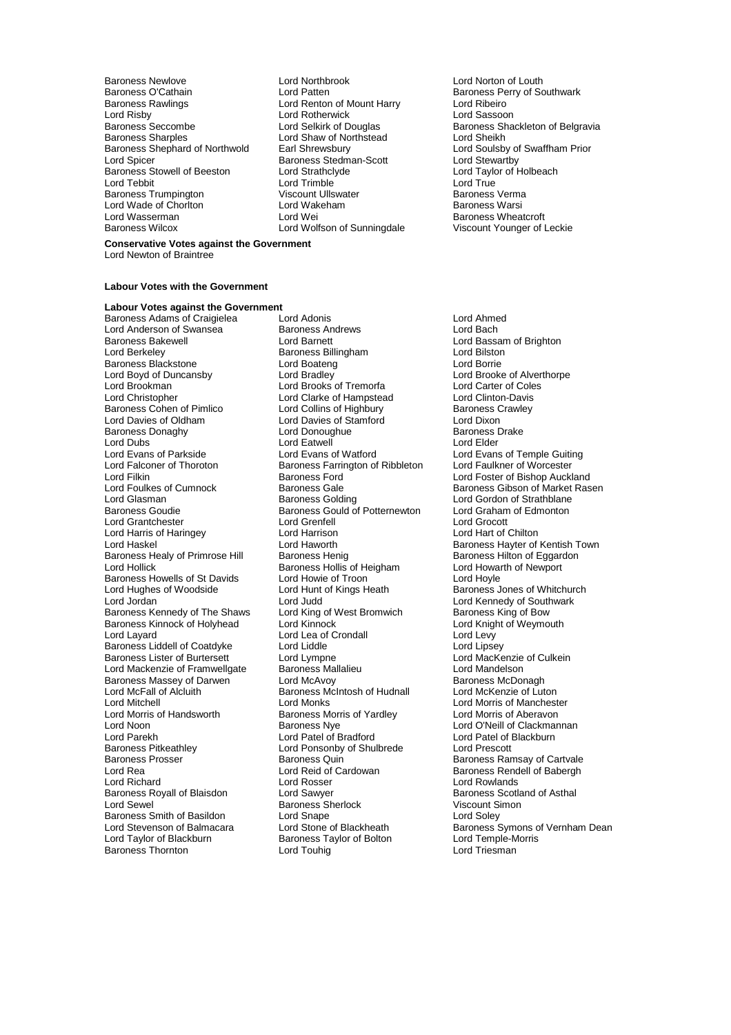Baroness Newlove Lord Northbrook Lord Norton of Louth Baroness O'Cathain **Example 2** Lord Patten **Baroness Perry of Southwark**<br>
Baroness Rawlings **Baroness Perry of Southwark**<br>
Lord Ribeiro Baroness Rawlings Lord Renton of Mount Harry Lord Ribeiro Lord Risby **Lord Rotherwick**<br> **Baroness Seccombe** Lord Selkirk of Douglas Baroness Shephard of Northwold Earl Shrewsbury Lord Soulsby of Lord Soulsby of Baroness Stedman-Scott Lord Stewartby Baroness Stowell of Beeston Lord Strathclyde Cord Taylor Cord Taylor Cord Taylor Cord Trimble Cord Trimble Cord True Baroness Trumpington **Viscount Ullswater** Maximum Baroness Verman Viscount Ullswater **Baroness Verman Viscount Ullswater** Baroness Warsi Lord Wade of Chorlton Lord Wakeham Baroness Lord Wakeham Baroness Warsing Lord War<br>Lord Wasserman Baroness Wars Lord Wasserman **Lord Wei Communist Communist Communist Communist Communist Communist Communist Communist Communist Communist Communist Communist Communist Communist Communist Communist Communist Communist Communist Communi** 

- Extra Discrement Scott<br>
Lord Strathclyde<br>
Lord Taylor of Holbeach<br>
Lord Taylor of Holbeach Lord Trimble **Contains Corporation Corporation**<br>
Unitate Lord True Viscount Ullswater<br>
Corporation Corporation Character Baroness Verma Lord Wolfson of Sunningdale
- Baroness Seccombe **Lord Selkirk of Douglas** Baroness Shackleton of Belgravia<br>Baroness Sharples **Baroness Sharples** Lord Shaw of Northstead Lord Sheikh Lord Shaw of Northstead<br>
Earl Shrewsbury Carl Lord Soulsby of Swaffham Prior

## **Conservative Votes against the Government**

Lord Newton of Braintree

### **Labour Votes with the Government**

## **Labour Votes against the Government**

Lord Anderson of Swansea<br>Baroness Bakewell **Baroness Bakewell** Baroness Bakewell **Roman Exercise Contract Lord Barnett** Cord Baroness Billingham<br>Lord Berkeley **Lord Billingham** Cord Billingham Lord Bilston Baroness Blackstone **Lord Boateng**<br>
Lord Boyd of Duncansby **Lord Bradley** Lord Boyd of Duncansby Lord Bradley Lord Bradley Lord Brooke of Alverthorpe<br>
Lord Brookman Lord Brooks of Tremorfa Lord Carter of Coles Lord Brookman Lord Brooks of Tremorfa Lord Carter of Cole<br>
Lord Christopher Lord Clarke of Hampstead Lord Clinton-Davis Lord Christopher Lord Clarke of Hampstead Lord Clinton-Davis Baroness Cohen of Pimlico Lord Collins of Highbury Baroness Cohen of Pimlico Lord Collins of Highbury Cord Chixon<br>
Lord Davies of Stamford Lord Dixon Baroness Donaghy Lord Donoughue Baroness Drake Lord Dubs<br>
Lord Evans of Parkside<br>
Lord Evans of Watford Lord Evans of Parkside **Lord Evans of Watford** Lord Evans of Temple Guiting<br>
Lord Falconer of Thoroton **Baroness Farrington of Ribbleton** Lord Faulkner of Worcester Lord Falconer of Thoroton Baroness Farrington of Ribbleton<br>Lord Filkin Lord Baroness Ford Lord Filkin **Baroness Ford** Lord Foster of Bishop Auckland<br>
Lord Foulkes of Cumnock **Baroness Gale** Baroness Gale Baroness Gibson of Market Ras Lord Glasman **Baroness Golding** Lord Gordon of Strathblane<br>Baroness Goudie **Baroness Gould of Potternewton** Lord Graham of Edmonton Lord Grantchester Lord Grenfell Lord Grocott Lord Harris of Haringey Lord Harrison<br>Lord Haskel Lord Haworth Lord Haworth Baroness Healy of Primrose Hill Baroness Henig Baroness Healy of Eggare<br>Lord Hollick Baroness Hollis of Heigham Lord Howarth of Newport Baroness Howells of St Davids Lord Howie of Troon Cord Hoyle<br>
Lord Hughes of Woodside Cord Hunt of Kings Heath Cord Baroness J Lord Hughes of Woodside Lord Hunt of Kings Heath Baroness Jones of Whitchurch<br>
Lord Jordan Lord Jord Judd Lord Cord Lord Kennedy of Southwark Baroness Kennedy of The Shaws Lord King of West Bromwich The Baroness King of Bow<br>Baroness Kinnock of Holyhead Lord Kinnock Lord Knight of Weymouth Baroness Kinnock of Holyhead Lord Kinnock Lord Cord Cord Lord Knight Cord Lord Levy<br>
Lord Layard Lord Levy Lord Levy Baroness Liddell of Coatdyke Lord Liddle Lord Liddle Lord Lipsey<br>
Baroness Lister of Burtersett Lord Lord Lympne Lord MacKenzie of Culkein Baroness Lister of Burtersett Lord Lympne Lord Lord MacKenzie<br>
Lord Mackenzie of Framwellgate Baroness Mallalieu Lord Mandelson Lord Mackenzie of Framwellgate Baroness Mallalieu Lord Mandelson Baroness Massey of Darwen Lord McAvoy Lord McAvols Baroness McDonagh<br>
Lord McFall of Alcluith Baroness McIntosh of Hudnall Lord McKenzie of Luton Lord Mitchell<br>
Lord Morris of Handsworth **Exercise Services** Cord Morris of Manchester<br>
Lord Morris of Handsworth **Banchest Band Access** Morris of Yardley **Lord Morris of Aberavon** Lord Morris of Handsworth Baroness Morris of Yardley<br>
Lord Noon<br>
Baroness Nye Lord Noon Baroness Nye Lord O'Neill of Clackmannan<br>
Lord Parekh Lord Patel of Bradford Lord Patel of Blackburn Lord Parekh Lord Patel of Bradford Lord Patel of Bradford Lord Patel of Blackburn<br>
Baroness Pitkeathley Lord Ponsonby of Shulbrede Lord Prescott Baroness Pitkeathley **Lord Ponsonby of Shulbrede**<br>Baroness Prosser **Communist Present Baroness Quin** Baroness Prosser **Baroness All Baroness Quin** Baroness Ramsay of Cartvale<br>1991 Lord Reid of Cardowan Baroness Rendell of Babergh Lord Richard **Communist Communist Communist Communist Communist Communist Communist Communist Communist Communist Communist Communist Communist Communist Communist Communist Communist Communist Communist Communist Communis** Baroness Royall of Blaisdon Lord Sawyer Communication Baroness Scotland Baroness Scotland Corp Baroness Scotla<br>Lord Sewel Corp Baroness Sherlock Corp Viscount Simon Baroness Smith of Basildon<br>
Lord Stevenson of Balmacara<br>
Lord Stone of Blackheath Baroness Thornton

Baroness Adams of Craigielea Lord Adonis Lord Ahmed **Baroness Billingham Lord Bilston Lord Bilston Lord Boatena**<br>
Lord Boatena<br>
Lord Borrie Lord Davies of Stamford<br>
Lord Donoughue Consumer Baroness Drake Baroness Gould of Potternewton Lord Graham<br>Lord Grenfell **Contains Container Contains Container** Baroness Hollis of Heigham<br>Lord Howie of Troon Lord Judd<br>
Lord King of West Bromwich<br>
Baroness King of Bow Lord Lea of Crondall Lord Levy<br>
Lord Liddle Lord Lipsey Baroness McIntosh of Hudnall Baroness Sherlock<br>Lord Snape Exaroness Taylor of Bolton Lord Temple-Mord Touhig<br>
Lord Touhig<br>
Lord Triesman

Lord Foulkes of Cumnock **Baroness Gale** Baroness Gale Baroness Gibson of Market Rasen<br>
Baroness Golding Baroness Golding Lord Gordon of Strathblane Lord Haworth **Baroness Hayter of Kentish Town**<br>
Baroness Henig **Baroness Hilton** of Eggardon Baroness Rendell of Babergh Lord Stevenson of Basildon Lord Shape Carolic Cord Stevenson of Balmacara Lord Stone of Blackheath Lord Stone Symons of Vernham Dean Lord Stone of Blackheath Lord Temple-Morris Cord Taylor of Blackheath Lord Temple-Morris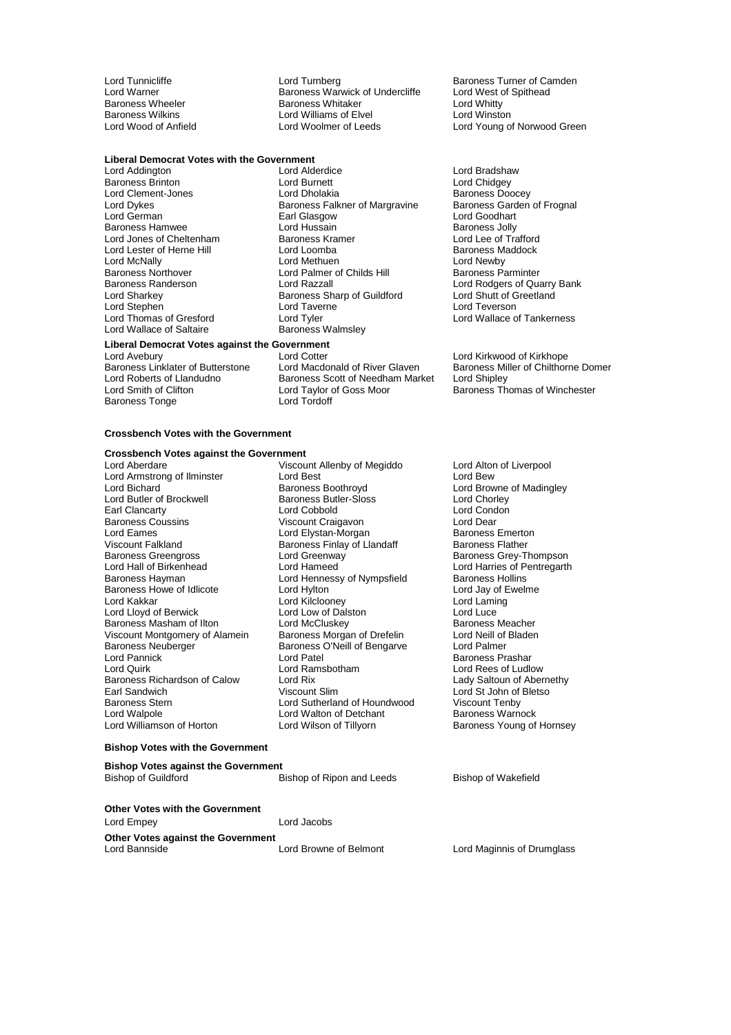## **Liberal Democrat Votes with the Government**

Baroness Northover **Lord Palmer of Childs Hill** Baroness Randerson<br>
Lord Razzall Lord Stephen Lord Taverne Lord Taverne Lord Tyler<br>
Lord Thomas of Gresford Lord Tyler Lord Wallace of Saltaire

Lord Tunnicliffe Turnberg Lord Turnberg Baroness Turner of Camden<br>
Lord Warner Camber Baroness Warwick of Undercliffe Lord West of Spithead Lord Warner **Communist Communist Communist Communist Communist Communist Communist Communist Communist Communist Communist Communist Communist Communist Communist Communist Communist Communist Communist Communist Communist** Baroness Wheeler The Baroness Whitaker Cord Whitty<br>Baroness Wilkins Cord Williams of Elvel Cord Winston Baroness Wilkins **Lord Williams of Elvel**<br>
Lord Wood of Anfield
Lord Woolmer of Leeds

Lord Addington Lord Alderdice Lord Bradshaw Baroness Brinton **Carlo Chidgey**<br>
Lord Clement-Jones **Connect Lord Dholakia**<br>
Lord Clement-Jones **Connect Lord Dholakia** Lord Clement-Jones<br>
Lord Dykes **Lord Dividend Baroness Falkner of Margravine** Baroness Garden of Frognal Lord Dykes Baroness Falkner of Margravine Baroness Gard<br>Lord German **Baroness Falkner of Margravine** Baroness Gard Earl Glasgow **Lord Goodhart**<br>
Lord Hussain **Earl Baroness Jolly** Baroness Hamwee Lord Hussain **Baroness Jolly**<br>
Lord Jones of Cheltenham Baroness Kramer **Baroness Hotel Cord Lee of Trafford** Lord Jones of Cheltenham Baroness Kramer Cheltenham Baroness Kramer Lord Lee of Trafford<br>
Lord Lester of Herne Hill Lord Lord Loomba<br>
Lord Lord Lord Lord Lord Lord Lord Baroness Maddock Lord Lester of Herne Hill Lord Loomba Baroness M.<br>
Lord McNally Lord Methuen Lord Methuen Lord Newby Lord McNally **Communist Communist Lord Methuen** Lord Childs Hill **Lord Newby**<br>
Lord Palmer of Childs Hill **Communist Communist Communist Communist Communist Communist Communist Communist Communist Communist Communist Commu** Baroness Randerson **Example 2 Example 2 Lord Razzall** Lord Rodgers of Quarry Bank<br>
Lord Sharkey<br>
Lord Sharkey **Baroness Sharp of Guildford** Lord Shutt of Greetland Baroness Sharp of Guildford Lord Shutt of G<br>
Lord Taverne Lord Teverson Lord Tyler **Comas of Green Corporation**<br>Baroness Walmsley **Communist Corporation** 

## **Liberal Democrat Votes against the Government**

Baroness Tonge

Lord Cotter Lord Kirkwood of Kirkhope<br>Lord Macdonald of River Glaven Baroness Miller of Chilthorne Domer Baroness Linklater of Butterstone Lord Macdonald of River Glaven Baroness Miller Children Baroness Miller Chil<br>Lord Roberts of Llandudno Baroness Scott of Needham Market Lord Shipley Lord Roberts of Llandudno<br>
Lord Smith of Clifton **Barol** Lord Taylor of Goss Moor Lord Taylor of Goss Moor **Baroness Thomas of Winchester**<br>Lord Tordoff

Lord Young of Norwood Green

### **Crossbench Votes with the Government**

## **Crossbench Votes against the Government**

Lord Armstrong of Ilminster Lord Best<br>
Lord Bichard Corp Baroness Boothroyd Lord Butler of Brockwell **Baroness Butler-Sloss** Lord Chorley<br>
Earl Clancarty **Canadian Lord Cobold** Lord Condon Earl Clancarty **Lord Condon Condon** Lord Cobbold **Lord Condon Lord Condon**<br>
Baroness Coussins 
Condon University Condon Craigavon<br>
Lord Dear Baroness Coussins Viscount Craigavon Lord Dear Lord Eames Lord Elystan-Morgan Baroness Emerton Baroness Emerton Baroness Emerton Baroness Emerton Baroness Fi<br>
Baroness Finlay of Llandaff Baroness Finlay Changes Baroness Fiather Viscount Falkland Baroness Finlay of Llandaff<br>
Baroness Greengross Lord Greenway Baroness Greengross Lord Greenway Baroness Grey-Thompson Lord Hall of Birkenhead Lord Hameed<br>
Lord Hennessy of Nympsfield Baroness Hollins<br>
Baroness Hayman Lord Hennessy of Nympsfield Baroness Hollins Baroness Howe of Idlicote Lord Hylton Lord Cord Lord Lord Jay of Every Lord Lord Laming<br>
Lord Kakkar Lord Lord Kilcloonev Lord Lord Laming Lord Lloyd of Berwick Lord Low of Dalston Lord Luce Baroness Masham of Ilton Lord McCluskey Consumers Masham of Ilton Lord McCluskey Consumers Meacher<br>
Viscount Montgomery of Alamein Baroness Morgan of Drefelin Lord Neill of Bladen Viscount Montgomery of Alamein Baroness Morgan of Drefelin Lord Neill of Baroness Neuberger Baroness O'Neill of Bengarye Lord Palmer Baroness Neuberger Baroness O'Neill of Bengarve<br>Lord Pannick Lord Patel Lord Pannick Lord Patel Baroness Prashar<br>Lord Quirk Lord Ramsbotham Lord Rees of Ludi Baroness Richardson of Calow Lord Rix<br>
Earl Sandwich Calow Viscount Slim Baroness Stern **Example 2** Lord Sutherland of Houndwood Viscount Tenby<br>
Lord Walpole **Connect Connect Connect Connect Connect Connect Connect Connect Ave**<br>
Lord Walton of Detchant **Connect Connect Connect Connect Connect C** Lord Walpole **Lord Walton of Detchant**<br>
Lord Williamson of Horton **Baroness Warnock Warnock Warnock** 

Viscount Allenby of Megiddo Lord Alton of Liverpool<br>
Lord Best Cord Cord Bew Baroness Boothroyd<br>
Baroness Butler-Sloss<br>
Lord Chorley<br>
Lord Chorley Lord Hennessy of Nympsfield Baroness Hollins<br>
Lord Hylton Baroness Hollins Lord Kilclooney **Lord Laming Lord Laming Lord Laming Lord Laming Corporation**<br>
Lord Low of Dalston **Lord Luce** Lord Ramsbotham Lord Rees of Ludlow<br>
Lady Saltoun of Abernethy<br>
Lady Saltoun of Abernethy

Lord St John of Bletso<br>Viscount Tenby Baroness Young of Hornsey

### **Bishop Votes with the Government**

| <b>Bishop Votes against the Government</b> |                           |                     |
|--------------------------------------------|---------------------------|---------------------|
| <b>Bishop of Guildford</b>                 | Bishop of Ripon and Leeds | Bishop of Wakefield |
| <b>Other Votes with the Government</b>     |                           |                     |
| Lord Empey                                 | Lord Jacobs               |                     |
| Other Votes against the Government         |                           |                     |

**Other Votes against the Government**

Lord Browne of Belmont Lord Maginnis of Drumglass